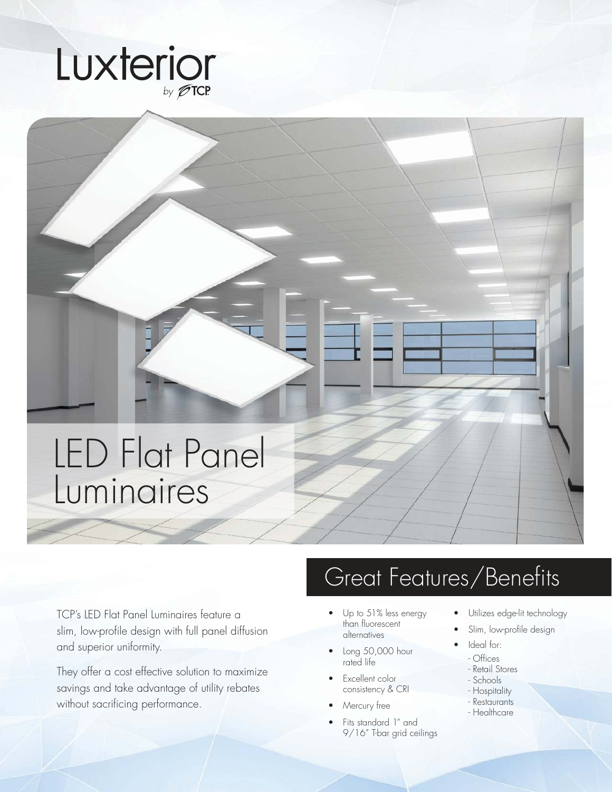

## LED Flat Panel Luminaires

TCP's LED Flat Panel Luminaires feature a slim, low-profile design with full panel diffusion and superior uniformity.

They offer a cost effective solution to maximize savings and take advantage of utility rebates without sacrificing performance.

## Great Features/Benefits

- Up to 51% less energy than fluorescent alternatives
- Long 50,000 hour rated life
- Excellent color consistency & CRI
- Mercury free
- Fits standard 1" and 9/16" T-bar grid ceilings
- Utilizes edge-lit technology
- Slim, low-profile design
- Ideal for:
- Offices
- Retail Stores
- Schools
- Hospitality
- Restaurants
- Healthcare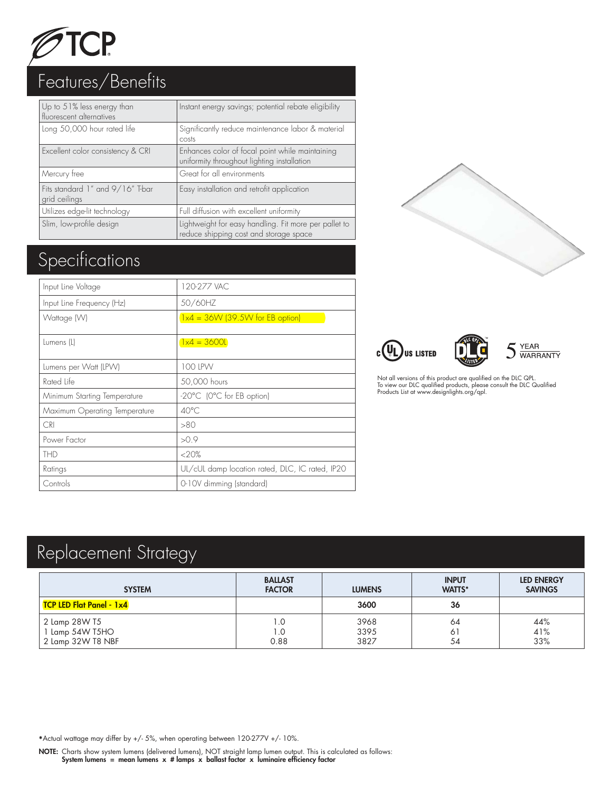

| Up to 51% less energy than<br>fluorescent alternatives | Instant energy savings; potential rebate eligibility                                            |
|--------------------------------------------------------|-------------------------------------------------------------------------------------------------|
| Long 50,000 hour rated life                            | Significantly reduce maintenance labor & material<br>costs                                      |
| Excellent color consistency & CRI                      | Enhances color of focal point while maintaining<br>uniformity throughout lighting installation  |
| Mercury free                                           | Great for all environments                                                                      |
| Fits standard 1" and 9/16" T-bar<br>grid ceilings      | Easy installation and retrofit application                                                      |
| Utilizes edge-lit technology                           | Full diffusion with excellent uniformity                                                        |
| Slim, low-profile design                               | Lightweight for easy handling. Fit more per pallet to<br>reduce shipping cost and storage space |

## Specifications

| Input Line Voltage            | 120-277 VAC                                     |
|-------------------------------|-------------------------------------------------|
| Input Line Frequency (Hz)     | 50/60HZ                                         |
| Wattage (W)                   | $1x4 = 36W (39.5W)$ for EB option)              |
|                               |                                                 |
| Lumens (L)                    | $1x4 = 36001$                                   |
| Lumens per Watt (LPW)         | 100 LPW                                         |
| Rated Life                    | 50,000 hours                                    |
| Minimum Starting Temperature  | -20°C (0°C for EB option)                       |
| Maximum Operating Temperature | 40°C                                            |
| <b>CRI</b>                    | >80                                             |
| Power Factor                  | >0.9                                            |
| <b>THD</b>                    | <20%                                            |
| Ratings                       | UL/cUL damp location rated, DLC, IC rated, IP20 |
| Controls                      | 0-10V dimming (standard)                        |





Not all versions of this product are qualified on the DLC QPL. To view our DLC qualified products, please consult the DLC Qualified Products List at www.designlights.org/qpl.

## Replacement Strategy

| <b>SYSTEM</b>                                       | <b>BALLAST</b><br><b>FACTOR</b> | <b>LUMENS</b>        | <b>INPUT</b><br><b>WATTS*</b> | <b>LED ENERGY</b><br><b>SAVINGS</b> |
|-----------------------------------------------------|---------------------------------|----------------------|-------------------------------|-------------------------------------|
| TCP LED Flat Panel - 1x4                            |                                 | 3600                 | 36                            |                                     |
| 2 Lamp 28W T5<br>Lamp 54W T5HO<br>2 Lamp 32W T8 NBF | .0<br>0. ا<br>0.88              | 3968<br>3395<br>3827 | 64<br>Ō<br>54                 | 44%<br>41%<br>33%                   |

\*Actual wattage may differ by +/- 5%, when operating between 120-277V +/- 10%.

NOTE: Charts show system lumens (delivered lumens), NOT straight lamp lumen output. This is calculated as follows: System lumens = mean lumens  $x$  # lamps  $x$  ballast factor  $x$  luminaire efficiency factor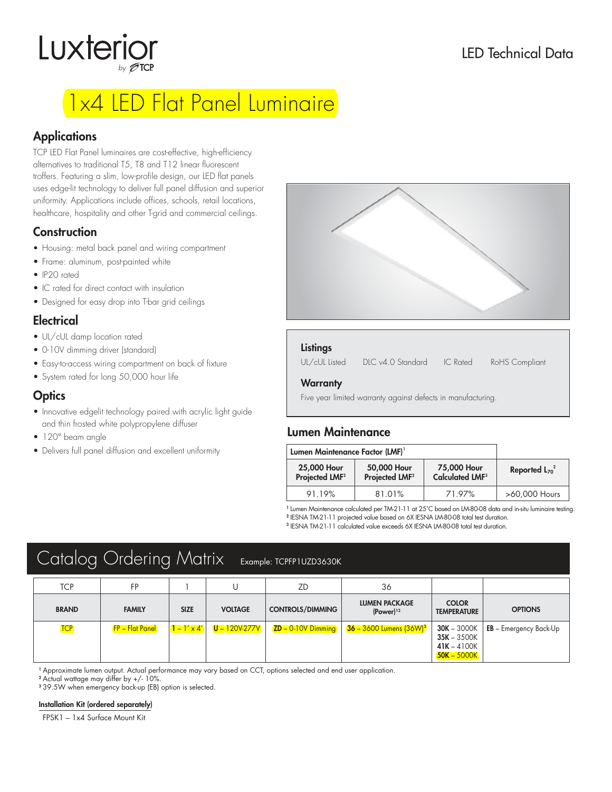# Luxterior

### LED Technical Data

## 1x4 LED Flat Panel Luminaire

#### **Applications**

TCP LED Flat Panel luminaires are cost-effective, high-efficiency alternatives to traditional T5, T8 and T12 linear fluorescent troffers. Featuring a slim, low-profile design, our LED flat panels uses edge-lit technology to deliver full panel diffusion and superior uniformity. Applications include offices, schools, retail locations, healthcare, hospitality and other T-grid and commercial ceilings.

#### **Construction**

- Housing: metal back panel and wiring compartment
- Frame: aluminum, post-painted white
- IP20 rated
- IC rated for direct contact with insulation
- Designed for easy drop into T-bar grid ceilings

#### **Electrical**

- UL/cUL damp location rated
- 0-10V dimming driver (standard)
- Easy-to-access wiring compartment on back of fixture
- System rated for long 50,000 hour life

#### **Optics**

- Innovative edgelit technology paired with acrylic light guide and thin frosted white polypropylene diffuser
- 120° beam angle
- Delivers full panel diffusion and excellent uniformity



#### **Listings**

UL/cUL Listed DLC v4.0 Standard IC Rated RoHS Compliant

#### **Warranty**

Five year limited warranty against defects in manufacturing.

#### Lumen Maintenance

| Lumen Maintenance Factor (LMF) <sup>1</sup> |                                           |                                                  |                     |
|---------------------------------------------|-------------------------------------------|--------------------------------------------------|---------------------|
| 25,000 Hour<br>Projected LMF <sup>2</sup>   | 50,000 Hour<br>Projected LMF <sup>2</sup> | 75,000 Hour<br><b>Calculated LMF<sup>3</sup></b> | Reported $L_{70}^2$ |
| 91.19%                                      | 81.01%                                    | 71.97%                                           | >60,000 Hours       |

1 Lumen Maintenance calculated per TM-21-11 at 25˚C based on LM-80-08 data and in-situ luminaire testing.

2 IESNA TM-21-11 projected value based on 6X IESNA LM-80-08 total test duration.

3 IESNA TM-21-11 calculated value exceeds 6X IESNA LM-80-08 total test duration.

### Catalog Ordering Matrix Example: TCPFP1UZD3630K

| <b>TCP</b>   | FP                     |                    |                   | ZD                      | 36                                              |                                                                  |                                   |
|--------------|------------------------|--------------------|-------------------|-------------------------|-------------------------------------------------|------------------------------------------------------------------|-----------------------------------|
| <b>BRAND</b> | <b>FAMILY</b>          | <b>SIZE</b>        | <b>VOLTAGE</b>    | <b>CONTROLS/DIMMING</b> | <b>LUMEN PACKAGE</b><br>$(Power)$ <sup>12</sup> | <b>COLOR</b><br><b>TEMPERATURE</b>                               | <b>OPTIONS</b>                    |
| <b>TCP</b>   | <b>FP – Flat Panel</b> | $1 - 1' \times 4'$ | $U - 120V - 277V$ | $ZD - 0.10V$ Dimming    | $36 - 3600$ Lumens $(36W)^3$                    | $30K - 3000K$<br>$35K - 3500K$<br>$41K - 4100K$<br>$50K - 5000K$ | $E$ <b>EB</b> – Emergency Back-Up |

<sup>1</sup> Approximate lumen output. Actual performance may vary based on CCT, options selected and end user application.

<sup>2</sup> Actual wattage may differ by +/- 10%.

<sup>3</sup> 39.5W when emergency back-up (EB) option is selected.

#### Installation Kit (ordered separately)

FPSK1 – 1x4 Surface Mount Kit